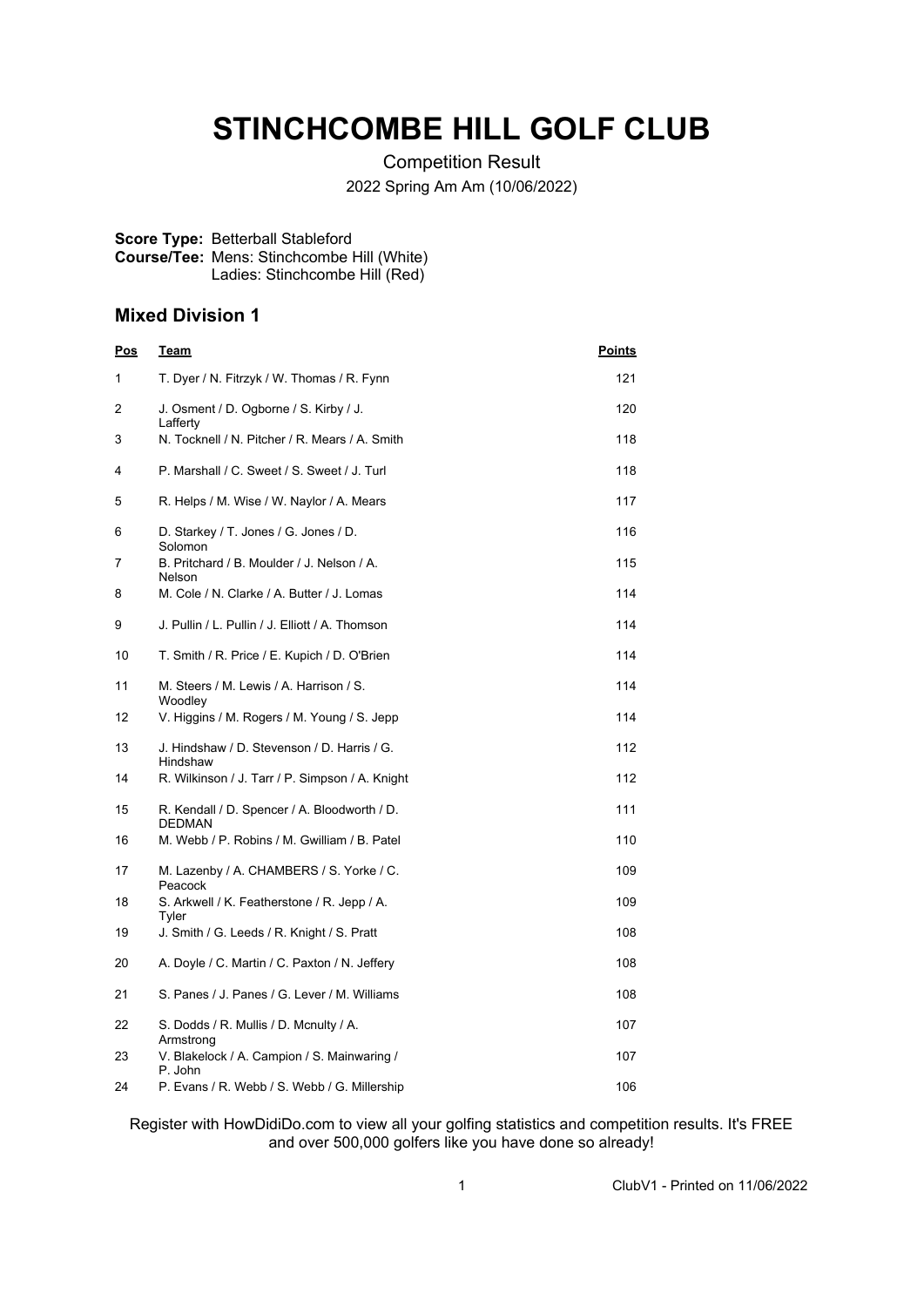# **STINCHCOMBE HILL GOLF CLUB**

Competition Result 2022 Spring Am Am (10/06/2022)

#### **Score Type:** Betterball Stableford **Course/Tee:** Mens: Stinchcombe Hill (White) Ladies: Stinchcombe Hill (Red)

### **Mixed Division 1**

| <u>Pos</u> | <u>Team</u>                                                         | <u>Points</u> |
|------------|---------------------------------------------------------------------|---------------|
| 1          | T. Dyer / N. Fitrzyk / W. Thomas / R. Fynn                          | 121           |
| 2          | J. Osment / D. Ogborne / S. Kirby / J.<br>Lafferty                  | 120           |
| 3          | N. Tocknell / N. Pitcher / R. Mears / A. Smith                      | 118           |
| 4          | P. Marshall / C. Sweet / S. Sweet / J. Turl                         | 118           |
| 5          | R. Helps / M. Wise / W. Naylor / A. Mears                           | 117           |
| 6          | D. Starkey / T. Jones / G. Jones / D.<br>Solomon                    | 116           |
| 7          | B. Pritchard / B. Moulder / J. Nelson / A.<br><b>Nelson</b>         | 115           |
| 8          | M. Cole / N. Clarke / A. Butter / J. Lomas                          | 114           |
| 9          | J. Pullin / L. Pullin / J. Elliott / A. Thomson                     | 114           |
| 10         | T. Smith / R. Price / E. Kupich / D. O'Brien                        | 114           |
| 11         | M. Steers / M. Lewis / A. Harrison / S.<br>Woodley                  | 114           |
| 12         | V. Higgins / M. Rogers / M. Young / S. Jepp                         | 114           |
| 13         | J. Hindshaw / D. Stevenson / D. Harris / G.<br>Hindshaw             | 112           |
| 14         | R. Wilkinson / J. Tarr / P. Simpson / A. Knight                     | 112           |
| 15         | R. Kendall / D. Spencer / A. Bloodworth / D.<br>DEDMAN              | 111           |
| 16         | M. Webb / P. Robins / M. Gwilliam / B. Patel                        | 110           |
| 17         | M. Lazenby / A. CHAMBERS / S. Yorke / C.<br>Peacock                 | 109           |
| 18         | S. Arkwell / K. Featherstone / R. Jepp / A.<br>Tyler                | 109           |
| 19         | J. Smith / G. Leeds / R. Knight / S. Pratt                          | 108           |
| 20         | A. Doyle / C. Martin / C. Paxton / N. Jeffery                       | 108           |
| 21         | S. Panes / J. Panes / G. Lever / M. Williams                        | 108           |
| 22         | S. Dodds / R. Mullis / D. Mcnulty / A.                              | 107           |
| 23         | Armstrong<br>V. Blakelock / A. Campion / S. Mainwaring /<br>P. John | 107           |
| 24         | P. Evans / R. Webb / S. Webb / G. Millership                        | 106           |

Register with HowDidiDo.com to view all your golfing statistics and competition results. It's FREE and over 500,000 golfers like you have done so already!